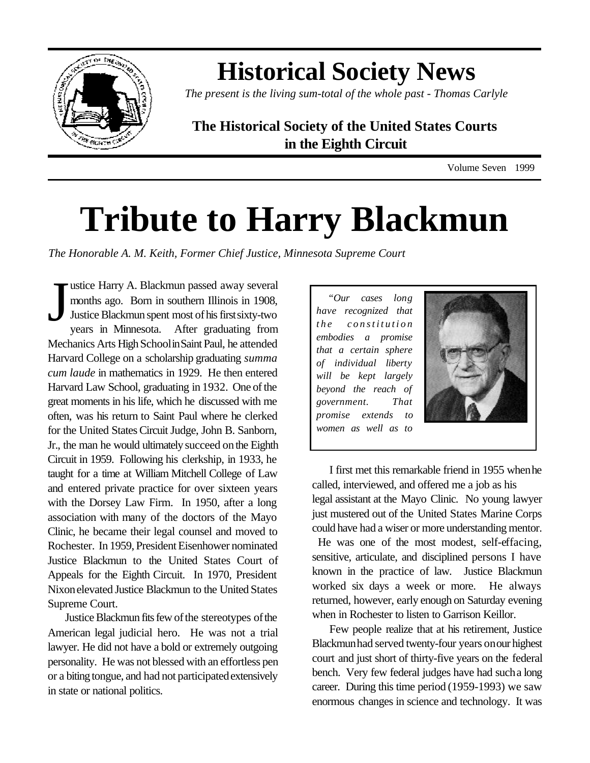

# **Historical Society News**

*The present is the living sum-total of the whole past - Thomas Carlyle*

# **The Historical Society of the United States Courts in the Eighth Circuit**

Volume Seven 1999

# **Tribute to Harry Blackmun**

*The Honorable A. M. Keith, Former Chief Justice, Minnesota Supreme Court*

J ustice Harry A. Blackmun passed away several months ago. Born in southern Illinois in 1908, Justice Blackmun spent most of his first sixty-two years in Minnesota. After graduating from Mechanics Arts High School in Saint Paul, he attended Harvard College on a scholarship graduating *summa cum laude* in mathematics in 1929. He then entered Harvard Law School, graduating in 1932. One of the great moments in his life, which he discussed with me often, was his return to Saint Paul where he clerked for the United States Circuit Judge, John B. Sanborn, Jr., the man he would ultimately succeed onthe Eighth Circuit in 1959. Following his clerkship, in 1933, he taught for a time at William Mitchell College of Law and entered private practice for over sixteen years with the Dorsey Law Firm. In 1950, after a long association with many of the doctors of the Mayo Clinic, he became their legal counsel and moved to Rochester. In 1959, President Eisenhower nominated Justice Blackmun to the United States Court of Appeals for the Eighth Circuit. In 1970, President Nixonelevated Justice Blackmun to the United States Supreme Court.

Justice Blackmun fits few of the stereotypes of the American legal judicial hero. He was not a trial lawyer. He did not have a bold or extremely outgoing personality. He was not blessed with an effortless pen or a biting tongue, and had not participatedextensively in state or national politics.

*"Our cases long have recognized that the constitution embodies a promise that a certain sphere of individual liberty will be kept largely beyond the reach of government. That promise extends to women as well as to*



I first met this remarkable friend in 1955 whenhe called, interviewed, and offered me a job as his legal assistant at the Mayo Clinic. No young lawyer just mustered out of the United States Marine Corps could have had a wiser or more understanding mentor.

He was one of the most modest, self-effacing, sensitive, articulate, and disciplined persons I have known in the practice of law. Justice Blackmun worked six days a week or more. He always returned, however, early enough on Saturday evening when in Rochester to listen to Garrison Keillor.

Few people realize that at his retirement, Justice Blackmunhad served twenty-four years onour highest court and just short of thirty-five years on the federal bench. Very few federal judges have had sucha long career. During this time period (1959-1993) we saw enormous changes in science and technology. It was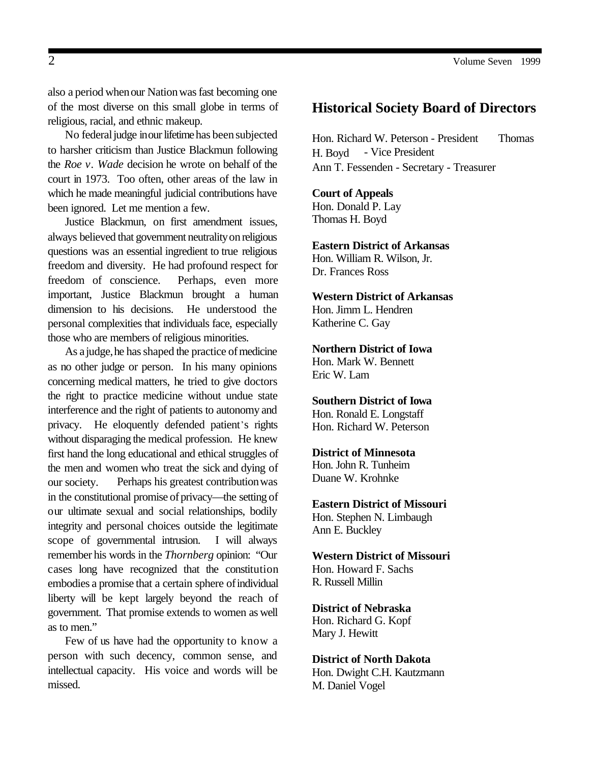also a period when our Nation was fast becoming one of the most diverse on this small globe in terms of religious, racial, and ethnic makeup.

No federal judge inour lifetime has been subjected to harsher criticism than Justice Blackmun following the *Roe v. Wade* decision he wrote on behalf of the court in 1973. Too often, other areas of the law in which he made meaningful judicial contributions have been ignored. Let me mention a few.

Justice Blackmun, on first amendment issues, always believed that government neutrality on religious questions was an essential ingredient to true religious freedom and diversity. He had profound respect for freedom of conscience. Perhaps, even more important, Justice Blackmun brought a human dimension to his decisions. He understood the personal complexities that individuals face, especially those who are members of religious minorities.

As a judge, he has shaped the practice of medicine as no other judge or person. In his many opinions concerning medical matters, he tried to give doctors the right to practice medicine without undue state interference and the right of patients to autonomy and privacy. He eloquently defended patient's rights without disparaging the medical profession. He knew first hand the long educational and ethical struggles of the men and women who treat the sick and dying of our society. Perhaps his greatest contributionwas in the constitutional promise of privacy—the setting of our ultimate sexual and social relationships, bodily integrity and personal choices outside the legitimate scope of governmental intrusion. I will always remember his words in the *Thornberg* opinion: "Our cases long have recognized that the constitution embodies a promise that a certain sphere of individual liberty will be kept largely beyond the reach of government. That promise extends to women as well as to men."

Few of us have had the opportunity to know a person with such decency, common sense, and intellectual capacity. His voice and words will be missed.

## **Historical Society Board of Directors**

Hon. Richard W. Peterson - President Thomas H. Boyd - Vice President Ann T. Fessenden - Secretary - Treasurer

#### **Court of Appeals**

Hon. Donald P. Lay Thomas H. Boyd

#### **Eastern District of Arkansas**

Hon. William R. Wilson, Jr. Dr. Frances Ross

## **Western District of Arkansas**

Hon. Jimm L. Hendren Katherine C. Gay

#### **Northern District of Iowa**

Hon. Mark W. Bennett Eric W. Lam

#### **Southern District of Iowa**

Hon. Ronald E. Longstaff Hon. Richard W. Peterson

#### **District of Minnesota**

Hon. John R. Tunheim Duane W. Krohnke

#### **Eastern District of Missouri**

Hon. Stephen N. Limbaugh Ann E. Buckley

**Western District of Missouri** Hon. Howard F. Sachs R. Russell Millin

#### **District of Nebraska**

Hon. Richard G. Kopf Mary J. Hewitt

#### **District of North Dakota**

Hon. Dwight C.H. Kautzmann M. Daniel Vogel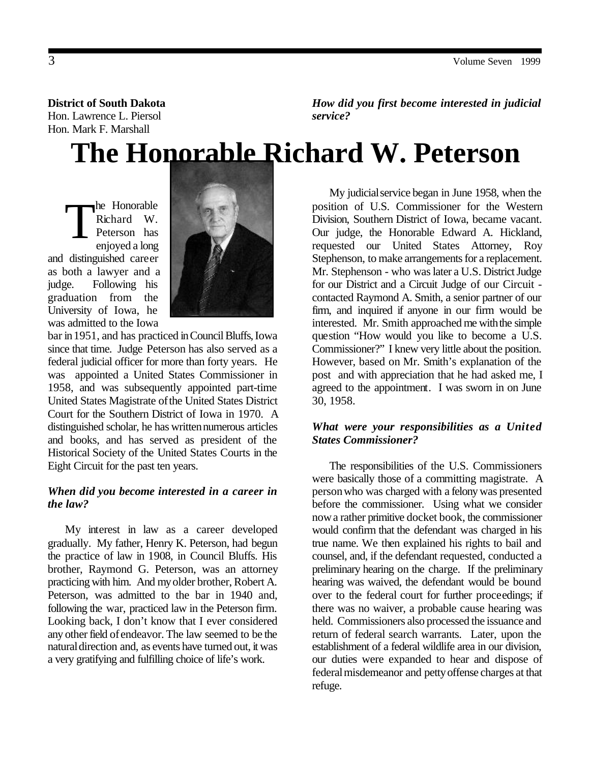#### **District of South Dakota** Hon. Lawrence L. Piersol Hon. Mark F. Marshall

*How did you first become interested in judicial service?*

# **The Honorable Richard W. Peterson**

**T** he Honorable Richard W. Peterson has enjoyed a long and distinguished career as both a lawyer and a judge. Following his graduation from the University of Iowa, he was admitted to the Iowa



bar in 1951, and has practiced in Council Bluffs, Iowa since that time. Judge Peterson has also served as a federal judicial officer for more than forty years. He was appointed a United States Commissioner in 1958, and was subsequently appointed part-time United States Magistrate of the United States District Court for the Southern District of Iowa in 1970. A distinguished scholar, he has written numerous articles and books, and has served as president of the Historical Society of the United States Courts in the Eight Circuit for the past ten years.

#### *When did you become interested in a career in the law?*

My interest in law as a career developed gradually. My father, Henry K. Peterson, had begun the practice of law in 1908, in Council Bluffs. His brother, Raymond G. Peterson, was an attorney practicing with him. And myolder brother, Robert A. Peterson, was admitted to the bar in 1940 and, following the war, practiced law in the Peterson firm. Looking back, I don't know that I ever considered any other field of endeavor. The law seemed to be the natural direction and, as events have turned out, it was a very gratifying and fulfilling choice of life's work.

My judicialservice began in June 1958, when the position of U.S. Commissioner for the Western Division, Southern District of Iowa, became vacant. Our judge, the Honorable Edward A. Hickland, requested our United States Attorney, Roy Stephenson, to make arrangements for a replacement. Mr. Stephenson - who was later a U.S. District Judge for our District and a Circuit Judge of our Circuit contacted Raymond A. Smith, a senior partner of our firm, and inquired if anyone in our firm would be interested. Mr. Smith approached me with the simple question "How would you like to become a U.S. Commissioner?" I knew very little about the position. However, based on Mr. Smith's explanation of the post and with appreciation that he had asked me, I agreed to the appointment. I was sworn in on June 30, 1958.

#### *What were your responsibilities as a United States Commissioner?*

The responsibilities of the U.S. Commissioners were basically those of a committing magistrate. A personwho was charged with a felonywas presented before the commissioner. Using what we consider nowa rather primitive docket book, the commissioner would confirm that the defendant was charged in his true name. We then explained his rights to bail and counsel, and, if the defendant requested, conducted a preliminary hearing on the charge. If the preliminary hearing was waived, the defendant would be bound over to the federal court for further proceedings; if there was no waiver, a probable cause hearing was held. Commissioners also processed the issuance and return of federal search warrants. Later, upon the establishment of a federal wildlife area in our division, our duties were expanded to hear and dispose of federal misdemeanor and petty offense charges at that refuge.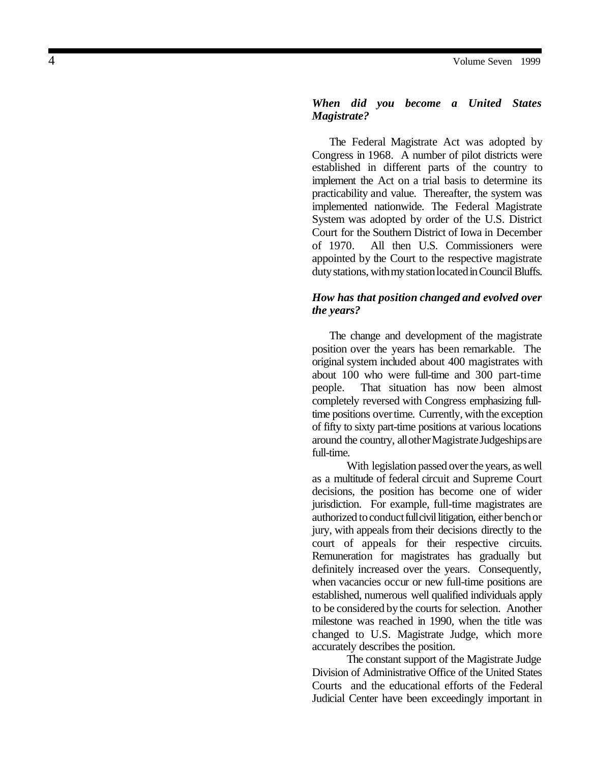#### *When did you become a United States Magistrate?*

The Federal Magistrate Act was adopted by Congress in 1968. A number of pilot districts were established in different parts of the country to implement the Act on a trial basis to determine its practicability a n d value. Thereafter, the system was implemented nationwide. The Federal Magistrate System was adopted by order of the U.S. District Court for the Southern District of Iowa in December of 1970. All then U.S. Commissioners were appointed by the Court to the respective magistrate duty stations, with my station located in Council Bluffs.

#### *How has that position changed and evolved over the years?*

The change and development of the magistrate position over the years has been remarkable. The original system included about 400 magistrates with about 100 who were full-time and 300 part-time people. That situation has now been almost completely reversed with Congress emphasizing fulltime positions over time. Currently, with the exception of fifty to sixty part-time positions at various locations around the country, all other Magistrate Judgeships are full-time.

With legislation passed over the years, as well as a multitude of federal circuit and Supreme Court decisions, the position has become one of wider jurisdiction. For example, full-time magistrates are authorized to conduct full civil litigation, either bench or jury, with appeals from their decisions directly to the court of appea l s for their respective circuits. Remuneration for magistrates has gradually but definitely increased over the years. Consequently, when vacancies occur or new full-time positions are established, numerous well qualified individuals apply to be considered bythe courts for selection. Another milestone was reached in 1990, when the title was changed to U.S. Magistrate Judge, which more accurately describes the position.

The constant support of the Magistrate Judge Division of Administrative Office of the United States Courts and the educational efforts of the Federal Judicial Center have been exceedingly important in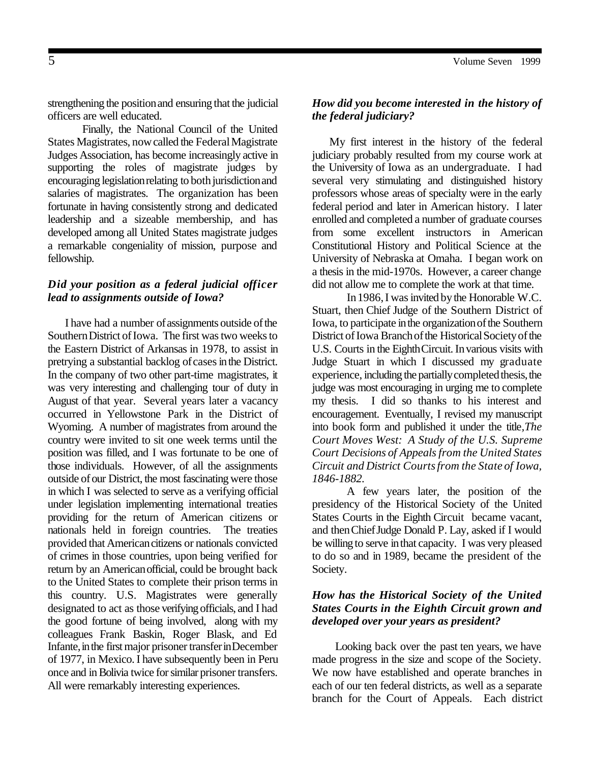strengthening the positionand ensuring that the judicial officers are well educated.

Finally, the National Council of the United States Magistrates, now called the Federal Magistrate Judges Association, has become increasingly active in supporting the roles of magistrate judges by encouraging legislation relating to both jurisdiction and salaries of magistrates. The organization has been fortunate in having consistently strong and dedicated leadership and a sizeable membership, and has developed among all United States magistrate judges a remarkable congeniality of mission, purpose and fellowship.

#### *Did your position as a federal judicial officer lead to assignments outside of Iowa?*

I have had a number of assignments outside of the Southern District of Iowa. The first was two weeks to the Eastern District of Arkansas in 1978, to assist in pretrying a substantial backlog of cases in the District. In the company of two other part-time magistrates, it was very interesting and challenging tour of duty in August of that year. Several years later a vacancy occurred in Yellowstone Park in the District of Wyoming. A number of magistrates from around the country were invited to sit one week terms until the position was filled, and I was fortunate to be one of those individuals. However, of all the assignments outside ofour District, the most fascinating were those in which I was selected to serve as a verifying official under legislation implementing international treaties providing for the return of American citizens or nationals held in foreign countries. The treaties provided that American citizens or nationals convicted of crimes in those countries, upon being verified for return by an Americanofficial, could be brought back to the United States to complete their prison terms in this country. U.S. Magistrates were generally designated to act as those verifying officials, and I had the good fortune of being involved, along with my colleagues Frank Baskin, Roger Blask, and Ed Infante, in the first major prisoner transfer in December of 1977, in Mexico.I have subsequently been in Peru once and in Bolivia twice for similar prisoner transfers. All were remarkably interesting experiences.

#### *How did you become interested in the history of the federal judiciary?*

My first interest in the history of the federal judiciary probably resulted from my course work at the University of Iowa as an undergraduate. I had several very stimulating and distinguished history professors whose areas of specialty were in the early federal period and later in American history. I later enrolled and completed a number of graduate courses from some excellent instructors in American Constitutional History and Political Science at the University of Nebraska at Omaha. I began work on a thesis in the mid-1970s. However, a career change did not allow me to complete the work at that time.

In 1986, I was invited by the Honorable W.C. Stuart, then Chief Judge of the Southern District of Iowa, to participate in the organization of the Southern District of Iowa Branch of the Historical Society of the U.S. Courts in the Eighth Circuit. In various visits with Judge Stuart in which I discussed my graduate experience, including the partially completed thesis, the judge was most encouraging in urging me to complete my thesis. I did so thanks to his interest and encouragement. Eventually, I revised my manuscript into book form and published it under the title*,The Court Moves West: A Study of the U.S. Supreme Court Decisions of Appealsfrom the United States Circuit and District Courtsfrom the State of Iowa, 1846-1882.*

A few years later, the position of the presidency of the Historical Society of the United States Courts in the Eighth Circuit became vacant, and thenChiefJudge Donald P. Lay, asked if I would be willing to serve inthat capacity. I was very pleased to do so and in 1989, became the president of the Society.

#### *How has the Historical Society of the United States Courts in the Eighth Circuit grown and developed over your years as president?*

 Looking back over the past ten years, we have made progress in the size and scope of the Society. We now have established and operate branches in each of our ten federal districts, as well as a separate branch for the Court of Appeals. Each district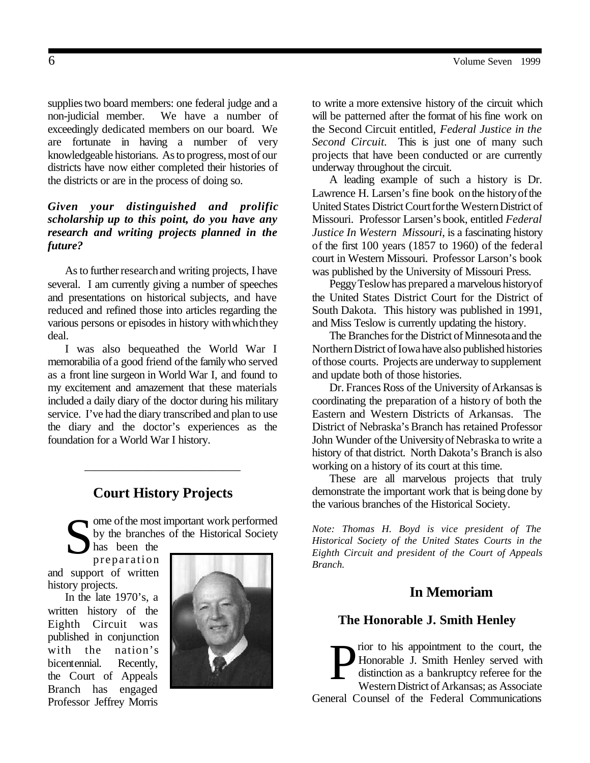supplies two board members: one federal judge and a non-judicial member. We have a number of exceedingly dedicated members on our board. We are fortunate in having a number of very knowledgeable historians. As to progress, most of our districts have now either completed their histories of the districts or are in the process of doing so.

#### *Given your distinguished and prolific scholarship up to this point, do you have any research and writing projects planned in the future?*

As to further research and writing projects, I have several. I am currently giving a number of speeches and presentations on historical subjects, and have reduced and refined those into articles regarding the various persons or episodes in history withwhichthey deal.

I was also bequeathed the World War I memorabilia of a good friend of the family who served as a front line surgeon in World War I, and found to my excitement and amazement that these materials included a daily diary of the doctor during his military service. I've had the diary transcribed and plan to use the diary and the doctor's experiences as the foundation for a World War I history.

#### **Court History Projects**

\_\_\_\_\_\_\_\_\_\_\_\_\_\_\_\_\_\_\_\_\_\_\_\_\_\_\_

ome of the most important work performed by the branches of the Historical Society

S has been the preparation and support of written history projects.

In the late 1970's, a written history of the Eighth Circuit was published in conjunction with the nation's bicentennial. Recently, the Court of Appeals Branch has engaged Professor Jeffrey Morris



to write a more extensive history of the circuit which will be patterned after the format of his fine work on the Second Circuit entitled, *Federal Justice in the Second Circuit.* This is just one of many such projects that have been conducted or are currently underway throughout the circuit.

A leading example of such a history is Dr. Lawrence H. Larsen's fine book on the history of the United States District Court for the Western District of Missouri. Professor Larsen's book, entitled *Federal Justice In Western Missouri*, is a fascinating history of the first 100 years (1857 to 1960) of the federal court in Western Missouri. Professor Larson's book was published by the University of Missouri Press.

PeggyTeslowhas prepared a marvelous historyof the United States District Court for the District of South Dakota. This history was published in 1991, and Miss Teslow is currently updating the history.

The Branches for the District of Minnesota and the Northern District of Iowa have also published histories ofthose courts. Projects are underway to supplement and update both of those histories.

Dr. Frances Ross of the University of Arkansas is coordinating the preparation of a history of both the Eastern and Western Districts of Arkansas. The District of Nebraska's Branch has retained Professor John Wunder of the University of Nebraska to write a history of that district. North Dakota's Branch is also working on a history of its court at this time.

These are all marvelous projects that truly demonstrate the important work that is being done by the various branches of the Historical Society.

*Note: Thomas H. Boyd is vice president of The Historical Society of the United States Courts in the Eighth Circuit and president of the Court of Appeals Branch.*

#### **In Memoriam**

#### **The Honorable J. Smith Henley**

P rior to his appointment to the court, the Honorable J. Smith Henley served with distinction as a bankruptcy referee for the Western District of Arkansas; as Associate General Counsel of the Federal Communications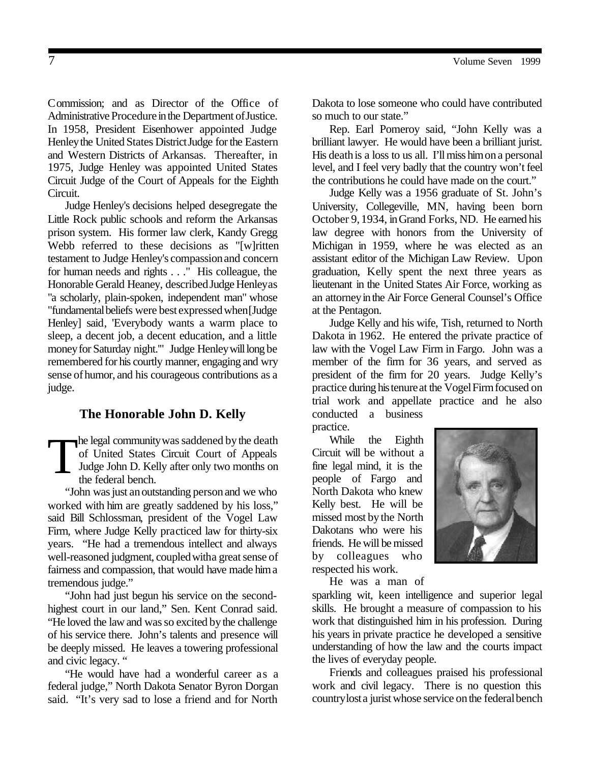Commission; and as Director of the Office of Administrative Procedure in the Department of Justice. In 1958, President Eisenhower appointed Judge Henley the United States District Judge for the Eastern and Western Districts of Arkansas. Thereafter, in 1975, Judge Henley was appointed United States Circuit Judge of the Court of Appeals for the Eighth Circuit.

Judge Henley's decisions helped desegregate the Little Rock public schools and reform the Arkansas prison system. His former law clerk, Kandy Gregg Webb referred to these decisions as "[w]ritten testament to Judge Henley's compassionand concern for human needs and rights . . ." His colleague, the Honorable Gerald Heaney, describedJudge Henleyas "a scholarly, plain-spoken, independent man" whose "fundamental beliefs were best expressed when [Judge] Henley] said, 'Everybody wants a warm place to sleep, a decent job, a decent education, and a little money for Saturday night." Judge Henley will long be remembered for his courtly manner, engaging and wry sense ofhumor, and his courageous contributions as a judge.

#### **The Honorable John D. Kelly**

**T** he legal community was saddened by the death of United States Circuit Court of Appeals Judge John D. Kelly after only two months on the federal bench.

"John was just an outstanding person and we who worked with him are greatly saddened by his loss," said Bill Schlossman, president of the Vogel Law Firm, where Judge Kelly practiced law for thirty-six years. "He had a tremendous intellect and always well-reasoned judgment, coupled with a great sense of fairness and compassion, that would have made hima tremendous judge."

"John had just begun his service on the secondhighest court in our land," Sen. Kent Conrad said. "He loved the lawand wasso excited bythe challenge of his service there. John's talents and presence will be deeply missed. He leaves a towering professional and civic legacy. "

"He would have had a wonderful career as a federal judge," North Dakota Senator Byron Dorgan said. "It's very sad to lose a friend and for North

Dakota to lose someone who could have contributed so much to our state."

Rep. Earl Pomeroy said, "John Kelly was a brilliant lawyer. He would have been a brilliant jurist. His death is a loss to us all. I'll miss him on a personal level, and I feel very badly that the country won't feel the contributions he could have made on the court."

Judge Kelly was a 1956 graduate of St. John's University, Collegeville, MN, having been born October 9,1934, inGrand Forks, ND. He earned his law degree with honors from the University of Michigan in 1959, where he was elected as an assistant editor of the Michigan Law Review. Upon graduation, Kelly spent the next three years as lieutenant in the United States Air Force, working as an attorney in the Air Force General Counsel's Office at the Pentagon.

Judge Kelly and his wife, Tish, returned to North Dakota in 1962. He entered the private practice of law with the Vogel Law Firm in Fargo. John was a member of the firm for 36 years, and served as president of the firm for 20 years. Judge Kelly's practice during histenureat the VogelFirmfocused on trial work and appellate practice and he also conducted a business

practice.

While the Eighth Circuit will be without a fine legal mind, it is the people of Fargo and North Dakota who knew Kelly best. He will be missed most bythe North Dakotans who were his friends. He will be missed by colleagues who respected his work.



He was a man of

sparkling wit, keen intelligence and superior legal skills. He brought a measure of compassion to his work that distinguished him in his profession. During his years in private practice he developed a sensitive understanding of how the law and the courts impact the lives of everyday people.

Friends and colleagues praised his professional work and civil legacy. There is no question this country lost a jurist whose service on the federal bench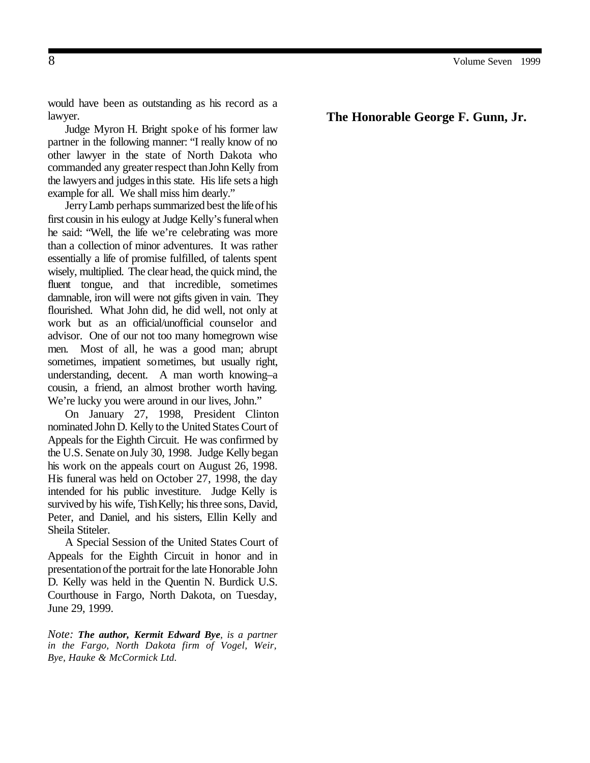would have been as outstanding as his record as a lawyer.

Judge Myron H. Bright spoke of his former law partner in the following manner: "I really know of no other lawyer in the state of North Dakota who commanded any greater respect than John Kelly from the lawyers and judges in this state. His life sets a high example for all. We shall miss him dearly."

Jerry Lamb perhaps summarized best the life of his first cousin in his eulogy at Judge Kelly's funeral when he said: "Well, the life we're celebrating was more than a collection of minor adventures. It was rather essentially a life of promise fulfilled, of talents spent wisely, multiplied. The clear head, the quick mind, the fluent tongue, and that incredible, sometimes damnable, iron will were not gifts given in vain. They flourished. What John did, he did well, not only at work but as an official/unofficial counselor and advisor. One of our not too many homegrown wise men. Most of all, he was a good man; abrupt sometimes, impatient sometimes, but usually right, understanding, decent. A man worth knowing–a cousin, a friend, an almost brother worth having. We're lucky you were around in our lives, John."

On January 27, 1998, President Clinton nominated John D. Kelly to the United States Court of Appeals for the Eighth Circuit. He was confirmed by the U.S. Senate onJuly 30, 1998. Judge Kelly began his work on the appeals court on August 26, 1998. His funeral was held on October 27, 1998, the day intended for his public investiture. Judge Kelly is survived by his wife, Tish Kelly; his three sons, David, Peter, and Daniel, and his sisters, Ellin Kelly and Sheila Stiteler.

A Special Session of the United States Court of Appeals for the Eighth Circuit in honor and in presentation of the portrait for the late Honorable John D. Kelly was held in the Quentin N. Burdick U.S. Courthouse in Fargo, North Dakota, on Tuesday, June 29, 1999.

*Note: The author, Kermit Edward Bye, is a partner in the Fargo, North Dakota firm of Vogel, Weir, Bye, Hauke & McCormick Ltd.*

**The Honorable George F. Gunn, Jr.**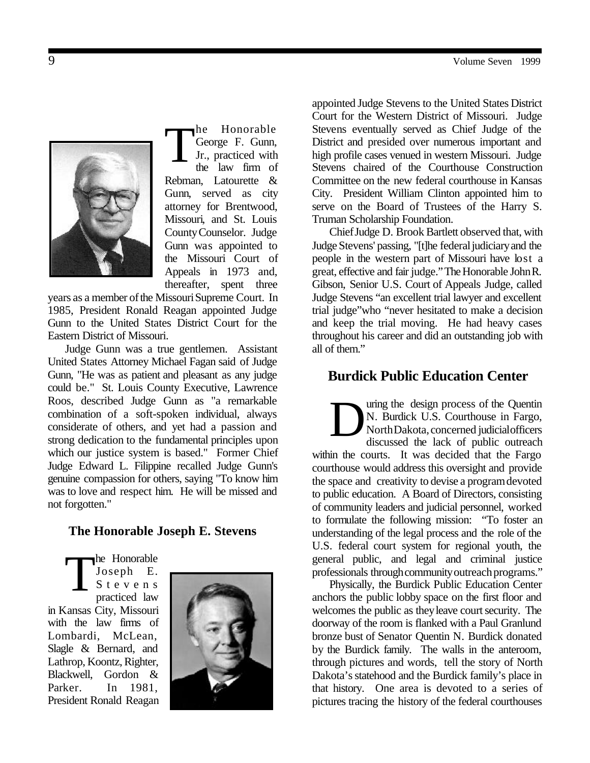

T he Honorable George F. Gunn, Jr., practiced with the law firm of Rebman, Latourette & Gunn, served as city attorney for Brentwood, Missouri, and St. Louis CountyCounselor. Judge Gunn was appointed to the Missouri Court of Appeals in 1973 and, thereafter, spent three

years as a member of the Missouri Supreme Court. In 1985, President Ronald Reagan appointed Judge Gunn to the United States District Court for the Eastern District of Missouri.

Judge Gunn was a true gentlemen. Assistant United States Attorney Michael Fagan said of Judge Gunn, "He was as patient and pleasant as any judge could be." St. Louis County Executive, Lawrence Roos, described Judge Gunn as "a remarkable combination of a soft-spoken individual, always considerate of others, and yet had a passion and strong dedication to the fundamental principles upon which our justice system is based." Former Chief Judge Edward L. Filippine recalled Judge Gunn's genuine compassion for others, saying "To know him was to love and respect him. He will be missed and not forgotten."

#### **The Honorable Joseph E. Stevens**

**T** he Honorable Joseph E. Stevens practiced law in Kansas City, Missouri with the law firms of Lombardi, McLean, Slagle & Bernard, and Lathrop, Koontz, Righter, Blackwell, Gordon & Parker. In 1981, President Ronald Reagan



appointed Judge Stevens to the United States District Court for the Western District of Missouri. Judge Stevens eventually served as Chief Judge of the District and presided over numerous important and high profile cases venued in western Missouri. Judge Stevens chaired of the Courthouse Construction Committee on the new federal courthouse in Kansas City. President William Clinton appointed him to serve on the Board of Trustees of the Harry S. Truman Scholarship Foundation.

ChiefJudge D. Brook Bartlett observed that, with Judge Stevens' passing, "[t]he federal judiciary and the people in the western part of Missouri have lost a great, effective and fair judge." The Honorable John R. Gibson, Senior U.S. Court of Appeals Judge, called Judge Stevens "an excellent trial lawyer and excellent trial judge"who "never hesitated to make a decision and keep the trial moving. He had heavy cases throughout his career and did an outstanding job with all of them."

### **Burdick Public Education Center**

D uring the design process of the Quentin N. Burdick U.S. Courthouse in Fargo, NorthDakota, concerned judicialofficers discussed the lack of public outreach within the courts. It was decided that the Fargo courthouse would address this oversight and provide the space and creativity to devise a programdevoted to public education. A Board of Directors, consisting of community leaders and judicial personnel, worked to formulate the following mission: "To foster an understanding of the legal process and the role of the U.S. federal court system for regional youth, the general public, and legal and criminal justice professionals through community outreach programs."

Physically, the Burdick Public Education Center anchors the public lobby space on the first floor and welcomes the public as they leave court security. The doorway of the room is flanked with a Paul Granlund bronze bust of Senator Quentin N. Burdick donated by the Burdick family. The walls in the anteroom, through pictures and words, tell the story of North Dakota's statehood and the Burdick family's place in that history. One area is devoted to a series of pictures tracing the history of the federal courthouses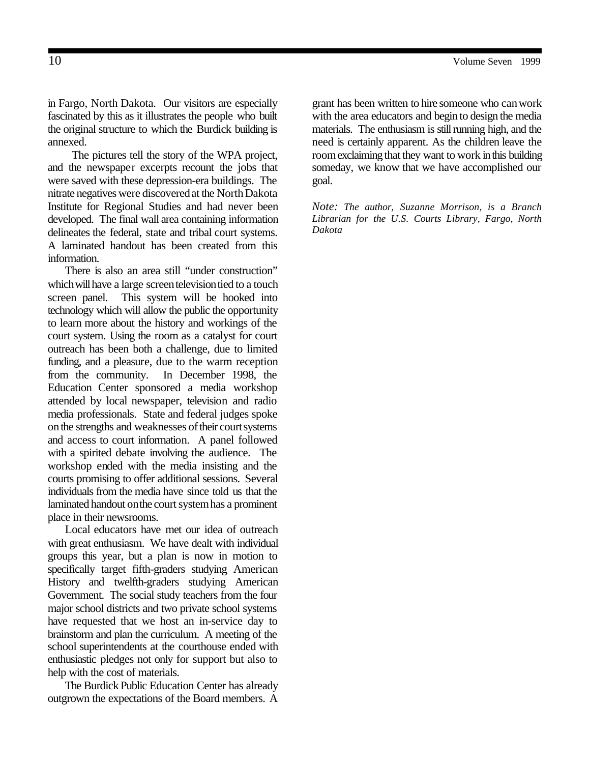in Fargo, North Dakota. Our visitors are especially fascinated by this as it illustrates the people who built the original structure to which the Burdick building is annexed.

 The pictures tell the story of the WPA project, and the newspaper excerpts recount the jobs that were saved with these depression-era buildings. The nitrate negatives were discoveredat the NorthDakota Institute for Regional Studies and had never been developed. The final wall area containing information delineates the federal, state and tribal court systems. A laminated handout has been created from this information.

There is also an area still "under construction" which will have a large screen television tied to a touch screen panel. This system will be hooked into technology which will allow the public the opportunity to learn more about the history and workings of the court system. Using the room as a catalyst for court outreach has been both a challenge, due to limited funding, and a pleasure, due to the warm reception from the community. In December 1998, the Education Center sponsored a media workshop attended by local newspaper, television and radio media professionals. State and federal judges spoke on the strengths and weaknesses of their court systems and access to court information. A panel followed with a spirited debate involving the audience. The workshop ended with the media insisting and the courts promising to offer additional sessions. Several individuals from the media have since told us that the laminated handout on the court system has a prominent place in their newsrooms.

Local educators have met our idea of outreach with great enthusiasm. We have dealt with individual groups this year, but a plan is now in motion to specifically target fifth-graders studying American History and twelfth-graders studying American Government. The social study teachers from the four major school districts and two private school systems have requested that we host an in-service day to brainstorm and plan the curriculum. A meeting of the school superintendents at the courthouse ended with enthusiastic pledges not only for support but also to help with the cost of materials.

The Burdick Public Education Center has already outgrown the expectations of the Board members. A grant has been written to hire someone who canwork with the area educators and begin to design the media materials. The enthusiasm is still running high, and the need is certainly apparent. As the children leave the roomexclaiming that they want to work inthis building someday, we know that we have accomplished our goal.

*Note: The author, Suzanne Morrison, is a Branch Librarian for the U.S. Courts Library, Fargo, North Dakota*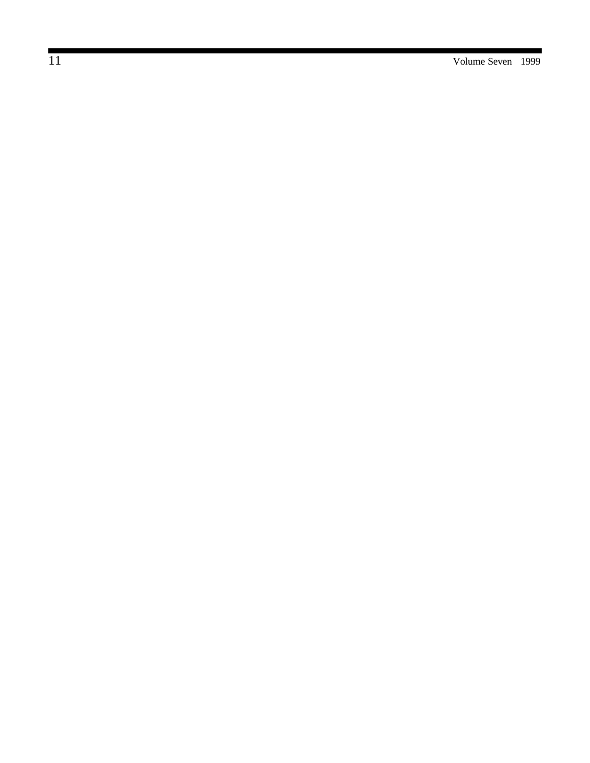Volume Seven 1999